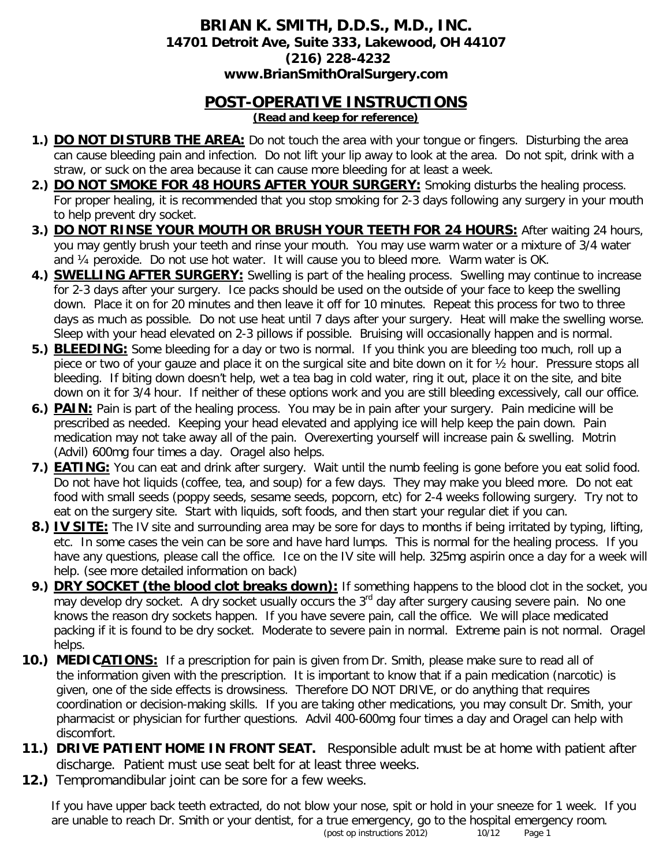#### **BRIAN K. SMITH, D.D.S., M.D., INC. 14701 Detroit Ave, Suite 333, Lakewood, OH 44107 (216) 228-4232 www.BrianSmithOralSurgery.com**

# **POST-OPERATIVE INSTRUCTIONS**

- **(Read and keep for reference)**
- **1.) DO NOT DISTURB THE AREA:** Do not touch the area with your tongue or fingers. Disturbing the area can cause bleeding pain and infection. Do not lift your lip away to look at the area. Do not spit, drink with a straw, or suck on the area because it can cause more bleeding for at least a week.
- **2.) DO NOT SMOKE FOR 48 HOURS AFTER YOUR SURGERY:** Smoking disturbs the healing process. For proper healing, it is recommended that you stop smoking for 2-3 days following any surgery in your mouth to help prevent dry socket.
- **3.) DO NOT RINSE YOUR MOUTH OR BRUSH YOUR TEETH FOR 24 HOURS:** After waiting 24 hours, you may gently brush your teeth and rinse your mouth. You may use warm water or a mixture of 3/4 water and ¼ peroxide. Do not use hot water. It will cause you to bleed more. Warm water is OK.
- **4.) SWELLING AFTER SURGERY:** Swelling is part of the healing process. Swelling may continue to increase for 2-3 days after your surgery. Ice packs should be used on the outside of your face to keep the swelling down. Place it on for 20 minutes and then leave it off for 10 minutes. Repeat this process for two to three days as much as possible. Do not use heat until 7 days after your surgery. Heat will make the swelling worse. Sleep with your head elevated on 2-3 pillows if possible. Bruising will occasionally happen and is normal.
- **5.) BLEEDING:** Some bleeding for a day or two is normal. If you think you are bleeding too much, roll up a piece or two of your gauze and place it on the surgical site and bite down on it for ½ hour. Pressure stops all bleeding. If biting down doesn't help, wet a tea bag in cold water, ring it out, place it on the site, and bite down on it for 3/4 hour. If neither of these options work and you are still bleeding excessively, call our office.
- **6.) PAIN:** Pain is part of the healing process. You may be in pain after your surgery. Pain medicine will be prescribed as needed. Keeping your head elevated and applying ice will help keep the pain down. Pain medication may not take away all of the pain. Overexerting yourself will increase pain & swelling. Motrin (Advil) 600mg four times a day. Oragel also helps.
- **7.) EATING:** You can eat and drink after surgery. Wait until the numb feeling is gone before you eat solid food. Do not have hot liquids (coffee, tea, and soup) for a few days. They may make you bleed more. Do not eat food with small seeds (poppy seeds, sesame seeds, popcorn, etc) for 2-4 weeks following surgery. Try not to eat on the surgery site. Start with liquids, soft foods, and then start your regular diet if you can.
- **8.) IV SITE:** The IV site and surrounding area may be sore for days to months if being irritated by typing, lifting, etc. In some cases the vein can be sore and have hard lumps. This is normal for the healing process. If you have any questions, please call the office. Ice on the IV site will help. 325mg aspirin once a day for a week will help. (see more detailed information on back)
- **9.) DRY SOCKET (the blood clot breaks down):** If something happens to the blood clot in the socket, you may develop dry socket. A dry socket usually occurs the  $3<sup>rd</sup>$  day after surgery causing severe pain. No one knows the reason dry sockets happen. If you have severe pain, call the office. We will place medicated packing if it is found to be dry socket. Moderate to severe pain in normal. Extreme pain is not normal. Oragel helps.
- **10.) MEDICATIONS:** If a prescription for pain is given from Dr. Smith, please make sure to read all of the information given with the prescription. It is important to know that if a pain medication (narcotic) is given, one of the side effects is drowsiness. Therefore DO NOT DRIVE, or do anything that requires coordination or decision-making skills. If you are taking other medications, you may consult Dr. Smith, your pharmacist or physician for further questions. Advil 400-600mg four times a day and Oragel can help with discomfort.
- **11.) DRIVE PATIENT HOME IN FRONT SEAT.** Responsible adult must be at home with patient after discharge. Patient must use seat belt for at least three weeks.
- **12.)** Tempromandibular joint can be sore for a few weeks.

If you have upper back teeth extracted, do not blow your nose, spit or hold in your sneeze for 1 week. If you are unable to reach Dr. Smith or your dentist, for a true emergency, go to the hospital emergency room.<br>(post op instructions 2012) 10/12 Page 1